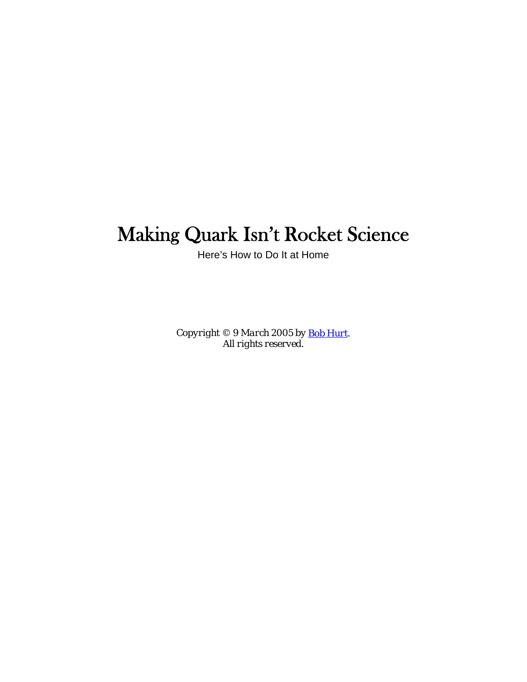# <span id="page-0-0"></span>Making Quark Isn't Rocket Science

Here's How to Do It at Home

*Copyright © 9 March 2005 by [Bob Hurt](http://bobhurt.com/). All rights reserved.*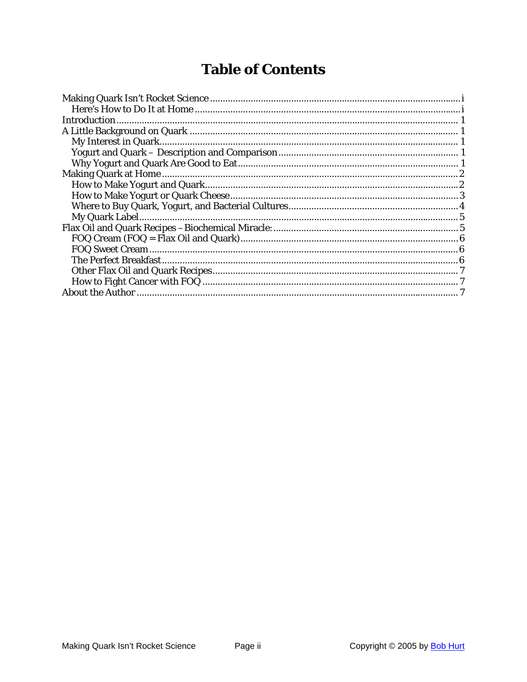## **Table of Contents**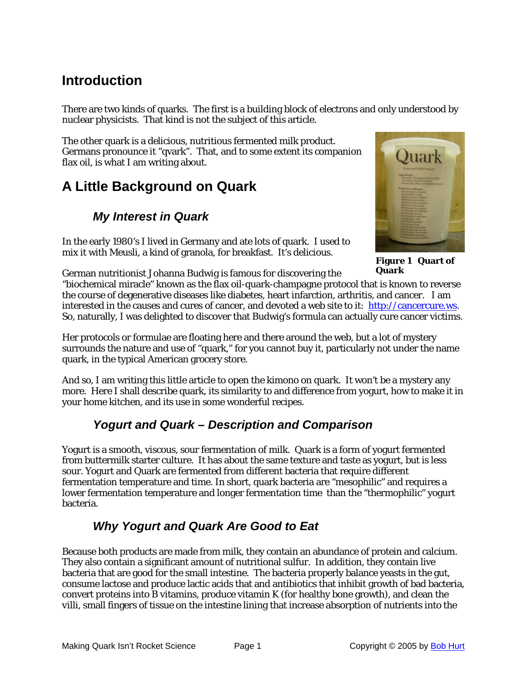## <span id="page-2-0"></span>**Introduction**

There are two kinds of quarks. The first is a building block of electrons and only understood by nuclear physicists. That kind is not the subject of this article.

The other quark is a delicious, nutritious fermented milk product. Germans pronounce it "qvark". That, and to some extent its companion flax oil, is what I am writing about.

## **A Little Background on Quark**

#### *My Interest in Quark*

In the early 1980's I lived in Germany and ate lots of quark. I used to mix it with Meusli, a kind of granola, for breakfast. It's delicious.



**Figure 1 Quart of Quark**

German nutritionist Johanna Budwig is famous for discovering the "biochemical miracle" known as the flax oil-quark-champagne protocol that is known to reverse the course of degenerative diseases like diabetes, heart infarction, arthritis, and cancer. I am interested in the causes and cures of cancer, and devoted a web site to it: [http://cancercure.ws.](http://cancercure.ws/) So, naturally, I was delighted to discover that Budwig's formula can actually cure cancer victims.

Her protocols or formulae are floating here and there around the web, but a lot of mystery surrounds the nature and use of "quark," for you cannot buy it, particularly not under the name quark, in the typical American grocery store.

And so, I am writing this little article to open the kimono on quark. It won't be a mystery any more. Here I shall describe quark, its similarity to and difference from yogurt, how to make it in your home kitchen, and its use in some wonderful recipes.

#### *Yogurt and Quark – Description and Comparison*

Yogurt is a smooth, viscous, sour fermentation of milk. Quark is a form of yogurt fermented from buttermilk starter culture. It has about the same texture and taste as yogurt, but is less sour. Yogurt and Quark are fermented from different bacteria that require different fermentation temperature and time. In short, quark bacteria are "mesophilic" and requires a lower fermentation temperature and longer fermentation time than the "thermophilic" yogurt bacteria.

#### *Why Yogurt and Quark Are Good to Eat*

<span id="page-2-1"></span>Because both products are made from milk, they contain an abundance of protein and calcium. They also contain a significant amount of nutritional sulfur. In addition, they contain live bacteria that are good for the small intestine. The bacteria properly balance yeasts in the gut, consume lactose and produce lactic acids that and antibiotics that inhibit growth of bad bacteria, convert proteins into B vitamins, produce vitamin K (for healthy bone growth), and clean the *villi*, small fingers of tissue on the intestine lining that increase absorption of nutrients into the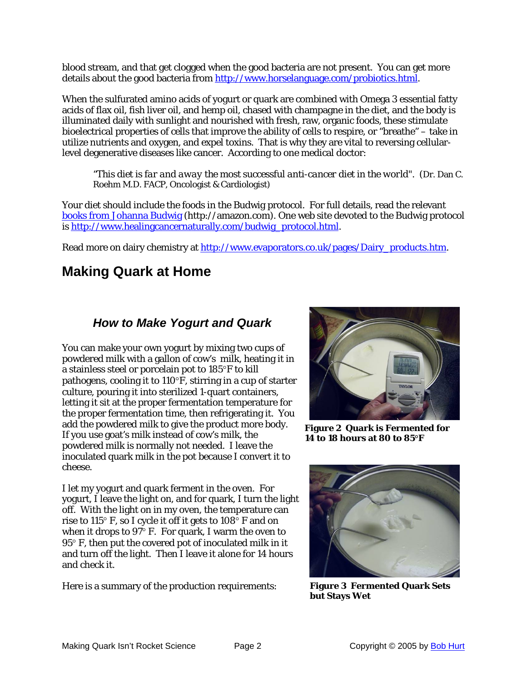<span id="page-3-0"></span>blood stream, and that get clogged when the good bacteria are not present. You can get more details about the good bacteria from <http://www.horselanguage.com/probiotics.html>.

When the sulfurated amino acids of yogurt or quark are combined with Omega 3 essential fatty acids of flax oil, fish liver oil, and hemp oil, chased with champagne in the diet, and the body is illuminated daily with sunlight and nourished with fresh, raw, organic foods, these stimulate bioelectrical properties of cells that improve the ability of cells to respire, or "breathe" – take in utilize nutrients and oxygen, and expel toxins. That is why they are vital to reversing cellularlevel degenerative diseases like cancer. According to one medical doctor:

*"This diet is far and away the most successful anti-cancer diet in the world".* (Dr. Dan C. Roehm M.D. FACP, Oncologist & Cardiologist)

Your diet should include the foods in the Budwig protocol. For full details, read the relevant [books from Johanna Budwig](http://www.amazon.com/exec/obidos/tg/detail/-/0969527217/qid=1108617837/sr=8-) (http://amazon.com). One web site devoted to the Budwig protocol is [http://www.healingcancernaturally.com/budwig\\_protocol.html](http://www.healingcancernaturally.com/budwig_protocol.html).

Read more on dairy chemistry at [http://www.evaporators.co.uk/pages/Dairy\\_products.htm](http://www.evaporators.co.uk/pages/Dairy_products.htm).

### **Making Quark at Home**

#### *How to Make Yogurt and Quark*

You can make your own yogurt by mixing two cups of powdered milk with a gallon of cow's milk, heating it in a stainless steel or porcelain pot to 185°F to kill pathogens, cooling it to 110°F, stirring in a cup of starter culture, pouring it into sterilized 1-quart containers, letting it sit at the proper fermentation temperature for the proper fermentation time, then refrigerating it. You add the powdered milk to give the product more body. If you use goat's milk instead of cow's milk, the powdered milk is normally not needed. I leave the inoculated quark milk in the pot because I convert it to cheese.

I let my yogurt and quark ferment in the oven. For yogurt, I leave the light on, and for quark, I turn the light off. With the light on in my oven, the temperature can rise to 115° F, so I cycle it off it gets to 108° F and on when it drops to 97° F. For quark, I warm the oven to 95° F, then put the covered pot of inoculated milk in it and turn off the light. Then I leave it alone for 14 hours and check it.

Here is a summary of the production requirements:



**Figure 2 Quark is Fermented for 14 to 18 hours at 80 to 85°F**



**Figure 3 Fermented Quark Sets but Stays Wet**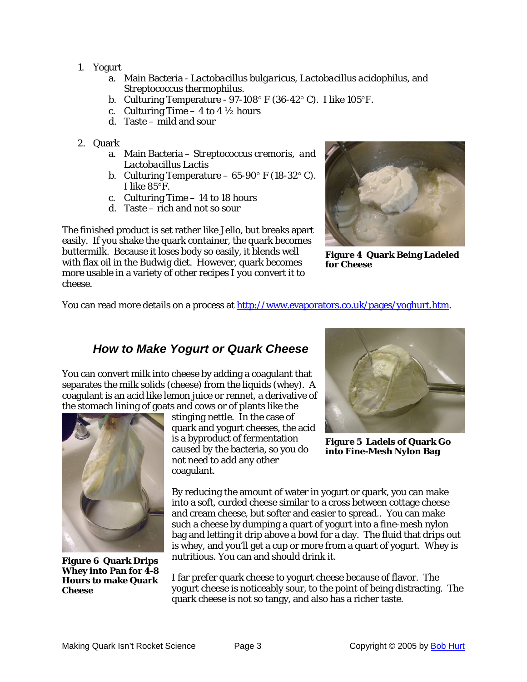- <span id="page-4-0"></span>1. Yogurt
	- a. Main Bacteria *Lactobacillus bulgaricus, Lactobacillus acidophilus,* and Streptococcus thermophilus.
	- b. Culturing Temperature 97-108° F (36-42° C). I like 105°F.
	- c. Culturing Time  $-$  4 to 4  $\frac{1}{2}$  hours
	- d. Taste mild and sour
- 2. Qu ark
	- a. Main Bacteria *Streptococcus cremoris, and Lactobacillus Lactis*
	- b. Culturing Temperature  $65-90^{\circ}$  F (18-32°C). I like 85°F.
	- c. Culturing Time 14 to 18 hours
	- d. Taste rich and not so sour

The finished product is set rather like Jello, but breaks apart asily. If you shake the quark container, the quark becomes e buttermilk. Because it loses body so easily, it blends well with flax oil in the Budwig diet. However, quark becomes more usable in a variety of other recipes I you convert it to cheese.



**Figure 4 Quark Being Ladeled for Cheese**

You can read more details on a process at <u>http://www.evaporators.co.uk/pages/yoghurt.htm</u>.

#### *How to Make Yogurt or Quark Cheese*

You can convert milk into cheese by adding a coagulant that separates the milk solids (cheese) from the liquids (whey). A coagulant is an acid like lemon juice or rennet, a derivative of the stomach lining of goats and cows or of plants like the



**Figure 6 Quark Drips Whey into Pan for 4-8 Hours to make Quark Cheese**

stinging nettle. In the case of quark and yogurt cheeses, the acid is a byproduct of fermentation caused by the bacteria, so you do not need to add any other coagulant.



**Figure 5 Ladels of Quark Go into Fine-Mesh Nylon Bag**

By reducing the amount of water in yogurt or quark, you can make into a soft, curded cheese similar to a cross between cottage cheese bag and letting it drip above a bowl for a day. The fluid that drips out is whey, and you'll get a cup or more from a quart of yogurt. Whey is and cream cheese, but softer and easier to spread.. You can make such a cheese by dumping a quart of yogurt into a fine-mesh nylon nutritious. You can and should drink it.

I far prefer quark cheese to yogurt cheese because of flavor. The yogurt cheese is noticeably sour, to the point of being distracting. The quark cheese is not so tangy, and also has a richer taste.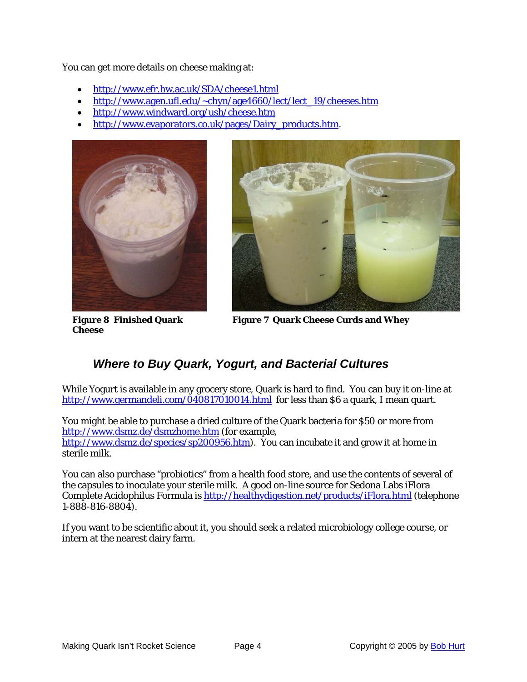<span id="page-5-0"></span>You can get more details on cheese making at:

- http://www.efr.hw.ac.uk/SDA/cheese1.html
- http://www.agen.ufl.edu/~chyn/age4660/lect/lect\_19/cheeses.htm
- [http://www.windward.org/ush/cheese.htm](http://www.efr.hw.ac.uk/SDA/cheese1.html)
- [http://www.evaporators.co.uk/pages/Dairy\\_products.htm](http://www.agen.ufl.edu/%7Echyn/age4660/lect/lect_19/cheeses.htm).





**Figure 8 Finished Quark Cheese**

**Figure 7 Quark Cheese Curds and Whey**

#### *Where to Buy Quark, Yogurt, and Bacterial Cultures*

While Yogurt is available in any grocery store, Quark is hard to find. You can buy it on-line at http://www.germandeli.com/040817010014.html for less than \$6 a quark, I mean quart.

You might be able to purchase a dried culture of the Quark bacteria for \$50 or more from [http://www.dsmz.de/dsmzhome.htm](http://www.germandeli.com/040817010014.html) (for example, http://www.dsmz.de/species/sp200956.htm). You can incubate it and grow it at home in sterile milk.

the capsules to inoculate your sterile milk. A good on-line source for Sedona Labs iFlora Complete Acidophilus Formula is <u>http://healthydigestion.net/products/iFlora.html</u> (telephone You can also purchase "probiotics" from a health food store, and use the contents of several of 1-888-816-8804).

intern at the nearest dairy farm. If you want to be scientific about it, you should seek a related microbiology college course, or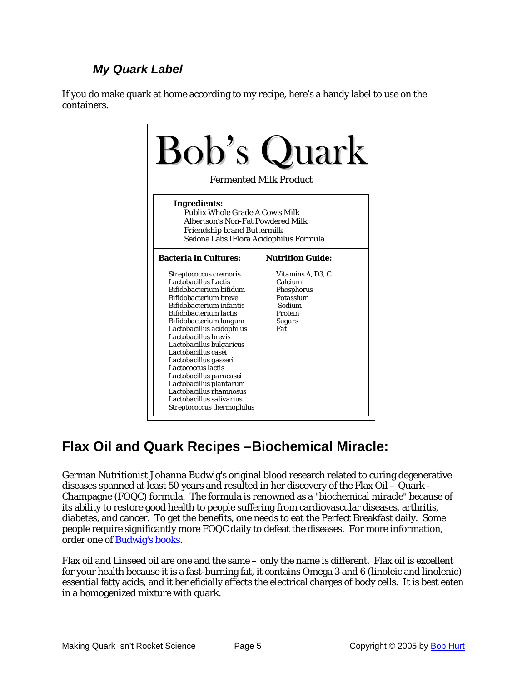#### *My Quark Label*

<span id="page-6-0"></span>If you do make quark at home according to my recipe, here's a handy label to use on the containers.



## **Flax Oil and Quark Recipes –Biochemical Miracle:**

German Nutritionist Johanna Budwig's original blood research related to curing degenerative diseases spanned at least 50 years and resulted in her discovery of the Flax Oil – Quark - Champagne (FOQC) formula. The formula is renowned as a "biochemical miracle" because of its ability to restore good health to people suffering from cardiovascular diseases, arthritis, diabetes, and cancer. To get the benefits, one needs to eat the Perfect Breakfast daily. Some people require significantly more FOQC daily to defeat the diseases. For more information, order one of [Budwig's books.](http://www.amazon.com/exec/obidos/search-handle-url/index=books&field-author=Budwig%2C%20Johanna%20Dr./104-9447428-2814367)

Flax oil and Linseed oil are one and the same – only the name is different. Flax oil is excellent for your health because it is a fast-burning fat, it contains Omega 3 and 6 (linoleic and linolenic) essential fatty acids, and it beneficially affects the electrical charges of body cells. It is best eaten in a homogenized mixture with quark.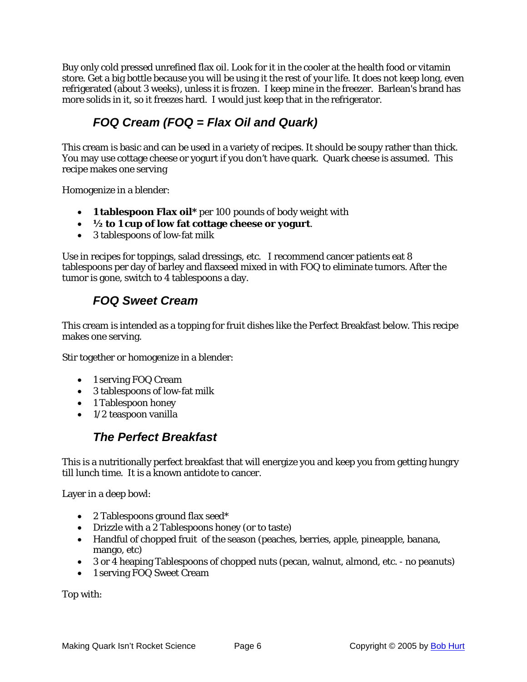<span id="page-7-0"></span>Buy only cold pressed unrefined flax oil. Look for it in the cooler at the health food or vitamin store. Get a big bottle because you will be using it the rest of your life. It does not keep long, even refrigerated (about 3 weeks), unless it is frozen. I keep mine in the freezer. Barlean's brand has more solids in it, so it freezes hard. I would just keep that in the refrigerator.

#### *FOQ Cream (FOQ = Flax Oil and Quark)*

This cream is basic and can be used in a variety of recipes. It should be soupy rather than thick. You may use cottage cheese or yogurt if you don't have quark. Quark cheese is assumed. This recipe makes one serving

Homogenize in a blender:

- **1 tablespoon Flax oil\*** per 100 pounds of body weight with
- **½ to 1 cup of low fat cottage cheese or yogurt**.
- 3 tablespoons of low-fat milk

Use in recipes for toppings, salad dressings, etc. I recommend cancer patients eat 8 tablespoons per day of barley and flaxseed mixed in with FOQ to eliminate tumors. After the tumor is gone, switch to 4 tablespoons a day.

#### *FOQ Sweet Cream*

This cream is intended as a topping for fruit dishes like the Perfect Breakfast below. This recipe makes one serving.

Stir together or homogenize in a blender:

- 1 serving FOQ Cream
- 3 tablespoons of low-fat milk
- 1 Tablespoon honey
- 1/2 teaspoon vanilla

#### *The Perfect Breakfast*

This is a nutritionally perfect breakfast that will energize you and keep you from getting hungry till lunch time. It is a known antidote to cancer.

Layer in a deep bowl:

- 2 Tablespoons ground flax seed\*
- Drizzle with a 2 Tablespoons honey (or to taste)
- Handful of chopped fruit of the season (peaches, berries, apple, pineapple, banana, mango, etc)
- 3 or 4 heaping Tablespoons of chopped nuts (pecan, walnut, almond, etc. *no* peanuts)
- 1 serving FOQ Sweet Cream

Top with: